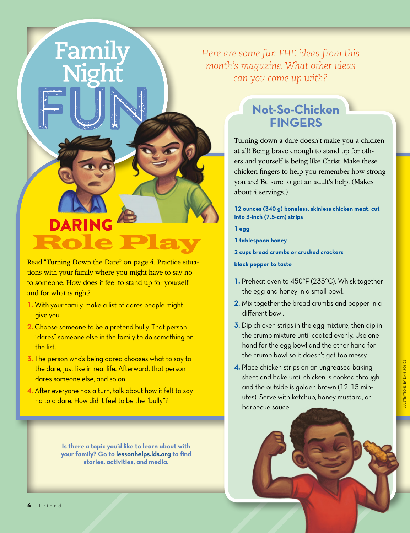*Here are some fun FHE ideas from this month's magazine. What other ideas can you come up with?*

# **DARING** Role Play

Read "Turning Down the Dare" on page 4. Practice situations with your family where you might have to say no to someone. How does it feel to stand up for yourself and for what is right?

**1.** With your family, make a list of dares people might give you.

Family

- **2.** Choose someone to be a pretend bully. That person "dares" someone else in the family to do something on the list.
- **3.** The person who's being dared chooses what to say to the dare, just like in real life. Afterward, that person dares someone else, and so on.
- **4.** After everyone has a turn, talk about how it felt to say no to a dare. How did it feel to be the "bully"?

**Is there a topic you'd like to learn about with your family? Go to [lessonhelps.lds.org](http://lessonhelps.lds.org) to find stories, activities, and media.**

### **Not-So-Chicken FINGERS**

Turning down a dare doesn't make you a chicken at all! Being brave enough to stand up for others and yourself is being like Christ. Make these chicken fingers to help you remember how strong you are! Be sure to get an adult's help. (Makes about 4 servings.)

**12 ounces (340 g) boneless, skinless chicken meat, cut into 3-inch (7.5-cm) strips**

**1 egg**

**1 tablespoon honey**

**2 cups bread crumbs or crushed crackers**

**black pepper to taste**

- **1.** Preheat oven to 450°F (235°C). Whisk together the egg and honey in a small bowl.
- **2.** Mix together the bread crumbs and pepper in a different bowl.
- **3.** Dip chicken strips in the egg mixture, then dip in the crumb mixture until coated evenly. Use one hand for the egg bowl and the other hand for the crumb bowl so it doesn't get too messy.
- **4.** Place chicken strips on an ungreased baking sheet and bake until chicken is cooked through and the outside is golden brown (12–15 minutes). Serve with ketchup, honey mustard, or barbecue sauce!